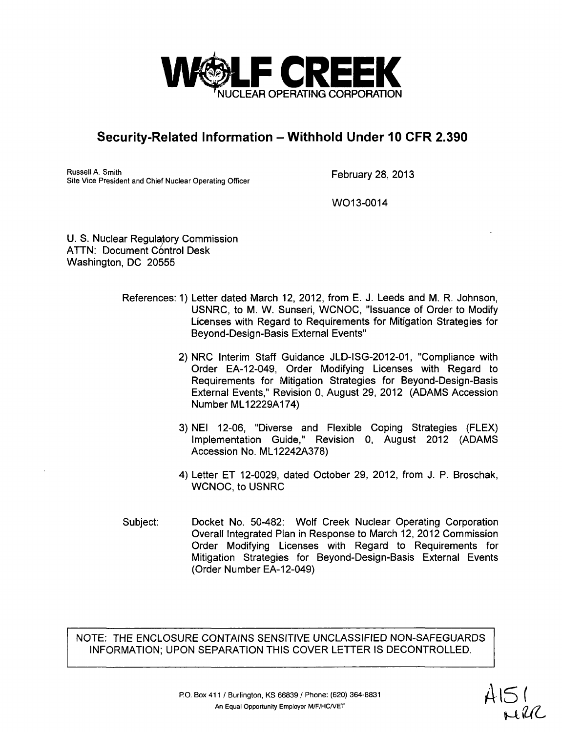

Russell A. Smith Russell A. Smith<br>Site Vice President and Chief Nuclear Operating Officer February 28, 2013

WO<sub>13-0014</sub>

U. S. Nuclear Regulatory Commission ATTN: Document Control Desk Washington, DC 20555

- References: 1) Letter dated March 12, 2012, from E. J. Leeds and M. R. Johnson, USNRC, to M. W. Sunseri, WCNOC, "Issuance of Order to Modify Licenses with Regard to Requirements for Mitigation Strategies for Beyond-Design-Basis External Events"
	- 2) NRC Interim Staff Guidance JLD-ISG-2012-01, "Compliance with Order EA-12-049, Order Modifying Licenses with Regard to Requirements for Mitigation Strategies for Beyond-Design-Basis External Events," Revision 0, August 29, 2012 (ADAMS Accession Number ML12229A174)
	- 3) NEI 12-06, "Diverse and Flexible Coping Strategies (FLEX) Implementation Guide," Revision 0, August 2012 (ADAMS Accession No. ML12242A378)
	- 4) Letter ET 12-0029, dated October 29, 2012, from J. P. Broschak, WCNOC, to USNRC
- Docket No. 50-482: Wolf Creek Nuclear Operating Corporation Overall Integrated Plan in Response to March 12, 2012 Commission Order Modifying Licenses with Regard to Requirements for Mitigation Strategies for Beyond-Design-Basis External Events (Order Number EA-12-049) Subject: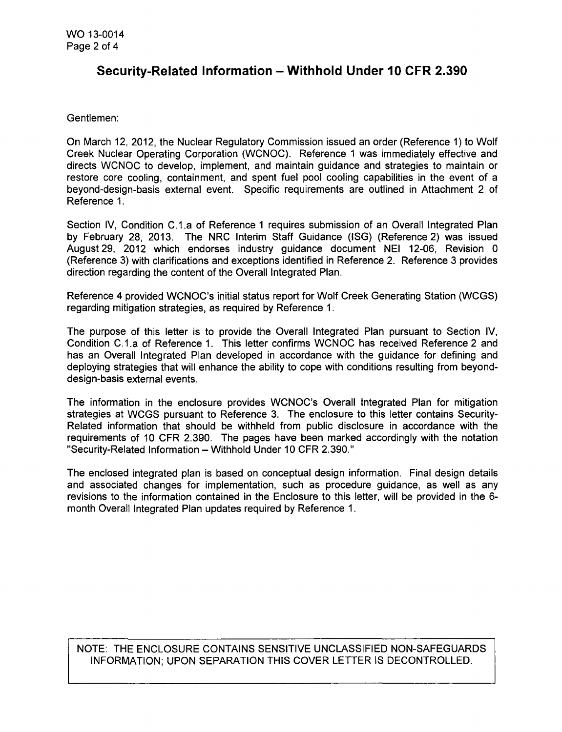#### Gentlemen:

On March 12, 2012, the Nuclear Regulatory Commission issued an order (Reference 1) to Wolf Creek Nuclear Operating Corporation (WCNOC). Reference 1 was immediately effective and directs WCNOC to develop, implement, and maintain guidance and strategies to maintain or restore core cooling, containment, and spent fuel pool cooling capabilities in the event of a beyond-design-basis external event. Specific requirements are outlined in Attachment 2 of Reference 1.

Section IV, Condition C.1.a of Reference 1 requires submission of an Overall Integrated Plan by February 28, 2013. The NRC Interim Staff Guidance (ISG) (Reference 2) was issued August 29, 2012 which endorses industry guidance document NEI 12-06, Revision 0 (Reference 3) with clarifications and exceptions identified in Reference 2. Reference 3 provides direction regarding the content of the Overall Integrated Plan.

Reference 4 provided WCNOC's initial status report for Wolf Creek Generating Station (WCGS) regarding mitigation strategies, as required by Reference 1.

The purpose of this letter is to provide the Overall Integrated Plan pursuant to Section IV, Condition C.1.a of Reference 1. This letter confirms WCNOC has received Reference 2 and has an Overall Integrated Plan developed in accordance with the guidance for defining and deploying strategies that will enhance the ability to cope with conditions resulting from beyonddesign-basis external events.

The information in the enclosure provides WCNOC's Overall Integrated Plan for mitigation strategies at WCGS pursuant to Reference 3. The enclosure to this letter contains Security-Related information that should be withheld from public disclosure in accordance with the requirements of 10 CFR 2.390. The pages have been marked accordingly with the notation "Security-Related Information - Withhold Under 10 CFR 2.390."

The enclosed integrated plan is based on conceptual design information. Final design details and associated changes for implementation, such as procedure guidance, as well as any revisions to the information contained in the Enclosure to this letter, will be provided in the 6 month Overall Integrated Plan updates required by Reference 1.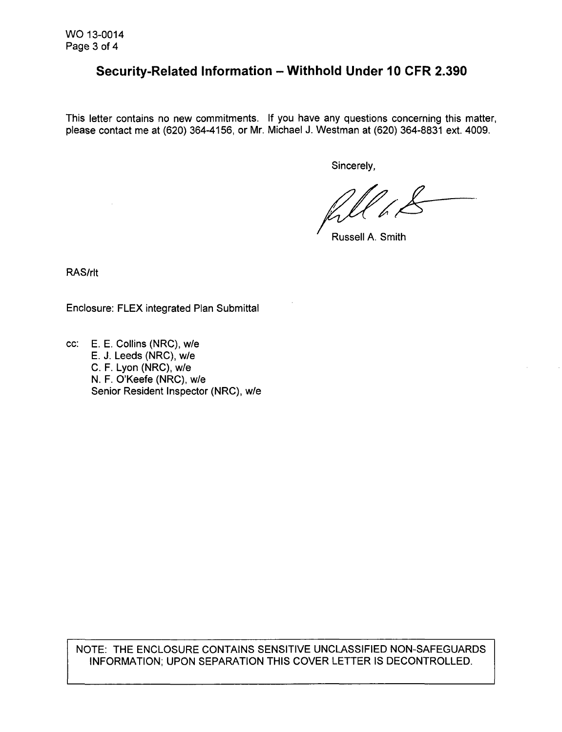This letter contains no new commitments. If you have any questions concerning this matter, please contact me at (620) 364-4156, or Mr. Michael J. Westman at (620) 364-8831 ext. 4009.

Sincerely,

Russell A. Smith

RAS/rlt

Enclosure: FLEX integrated Plan Submittal

cc: E. E. Collins (NRC), w/e E. J. Leeds (NRC), w/e C. F. Lyon (NRC), w/e N. F. O'Keefe (NRC), w/e Senior Resident Inspector (NRC), w/e